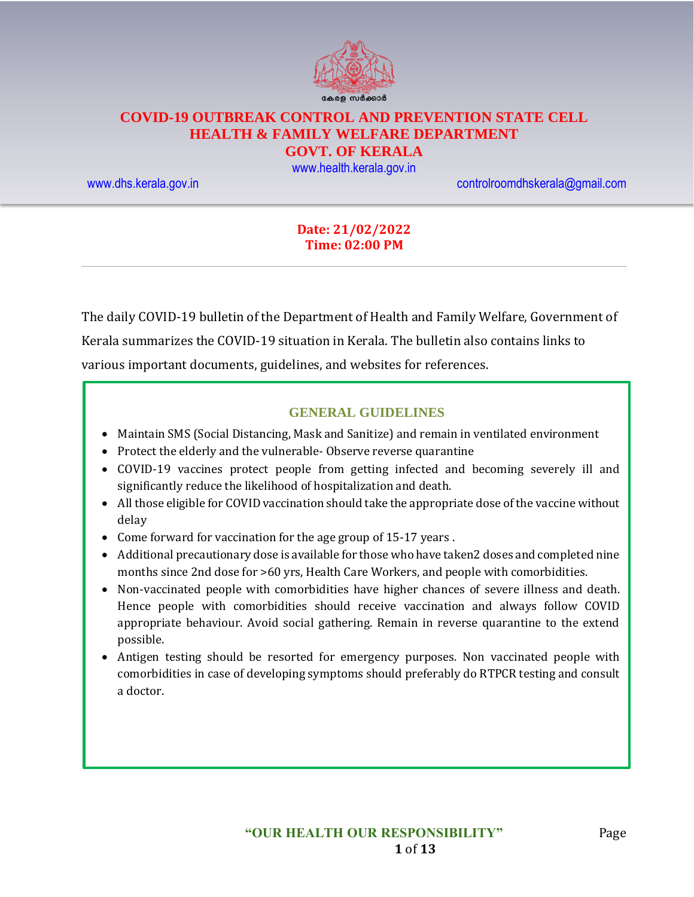

# **COVID-19 OUTBREAK CONTROL AND PREVENTION STATE CELL HEALTH & FAMILY WELFARE DEPARTMENT**

### **GOVT. OF KERALA**

[www.health.kerala.gov.in](file:///D:/My%20Documents/Mahesh%20-%20Dont%20Delete/Assistant%20Surgeon/Aardram%20Mission/Projects/COVID%20Control%20Room/Bulletin%20Format%20New/www.health.kerala.gov.in)

[www.dhs.kerala.gov.in](http://www.dhs.kerala.gov.in/) [controlroomdhskerala@gmail.com](mailto:controlroomdhskerala@gmail.com)

#### **Date: 21/02/2022 Time: 02:00 PM**

The daily COVID-19 bulletin of the Department of Health and Family Welfare, Government of Kerala summarizes the COVID-19 situation in Kerala. The bulletin also contains links to various important documents, guidelines, and websites for references.

#### **GENERAL GUIDELINES**

- Maintain SMS (Social Distancing, Mask and Sanitize) and remain in ventilated environment
- Protect the elderly and the vulnerable-Observe reverse quarantine
- COVID-19 vaccines protect people from getting infected and becoming severely ill and significantly reduce the likelihood of hospitalization and death.
- All those eligible for COVID vaccination should take the appropriate dose of the vaccine without delay
- Come forward for vaccination for the age group of 15-17 years .
- Additional precautionary dose is available for those who have taken2 doses and completed nine months since 2nd dose for >60 yrs, Health Care Workers, and people with comorbidities.
- Non-vaccinated people with comorbidities have higher chances of severe illness and death. Hence people with comorbidities should receive vaccination and always follow COVID appropriate behaviour. Avoid social gathering. Remain in reverse quarantine to the extend possible.
- Antigen testing should be resorted for emergency purposes. Non vaccinated people with comorbidities in case of developing symptoms should preferably do RTPCR testing and consult a doctor.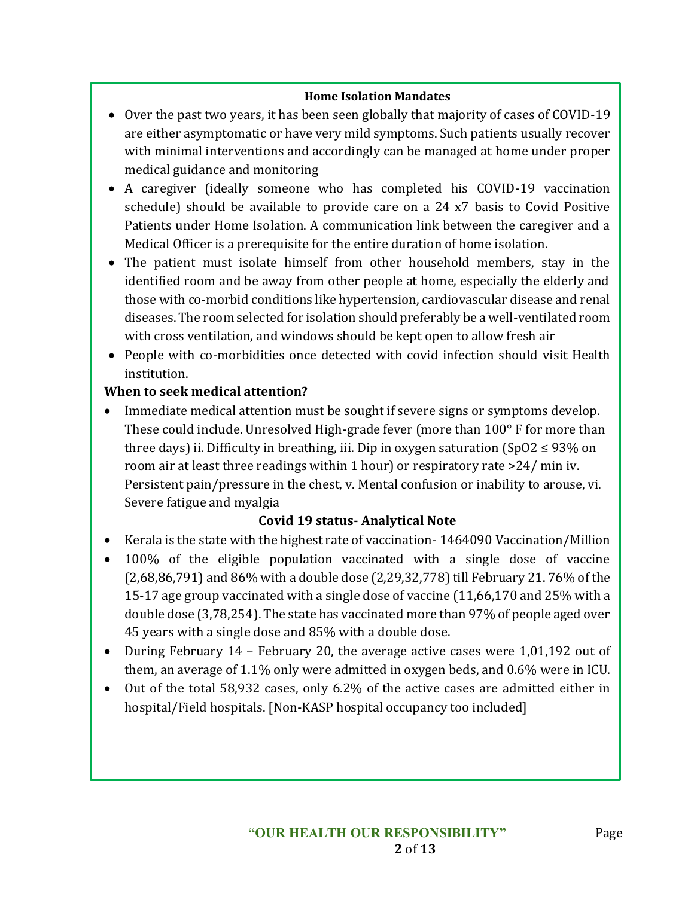#### **Home Isolation Mandates**

- Over the past two years, it has been seen globally that majority of cases of COVID-19 are either asymptomatic or have very mild symptoms. Such patients usually recover with minimal interventions and accordingly can be managed at home under proper medical guidance and monitoring
- A caregiver (ideally someone who has completed his COVID-19 vaccination schedule) should be available to provide care on a 24 x7 basis to Covid Positive Patients under Home Isolation. A communication link between the caregiver and a Medical Officer is a prerequisite for the entire duration of home isolation.
- The patient must isolate himself from other household members, stay in the identified room and be away from other people at home, especially the elderly and those with co-morbid conditions like hypertension, cardiovascular disease and renal diseases. The room selected for isolation should preferably be a well-ventilated room with cross ventilation, and windows should be kept open to allow fresh air
- People with co-morbidities once detected with covid infection should visit Health institution.

### **When to seek medical attention?**

• Immediate medical attention must be sought if severe signs or symptoms develop. These could include. Unresolved High-grade fever (more than 100° F for more than three days) ii. Difficulty in breathing, iii. Dip in oxygen saturation (SpO2  $\leq$  93% on room air at least three readings within 1 hour) or respiratory rate >24/ min iv. Persistent pain/pressure in the chest, v. Mental confusion or inability to arouse, vi. Severe fatigue and myalgia

### **Covid 19 status- Analytical Note**

- Kerala is the state with the highest rate of vaccination- 1464090 Vaccination/Million
- 100% of the eligible population vaccinated with a single dose of vaccine (2,68,86,791) and 86% with a double dose (2,29,32,778) till February 21. 76% of the 15-17 age group vaccinated with a single dose of vaccine (11,66,170 and 25% with a double dose (3,78,254). The state has vaccinated more than 97% of people aged over 45 years with a single dose and 85% with a double dose.
- During February 14 February 20, the average active cases were 1,01,192 out of them, an average of 1.1% only were admitted in oxygen beds, and 0.6% were in ICU.
- Out of the total 58,932 cases, only 6.2% of the active cases are admitted either in hospital/Field hospitals. [Non-KASP hospital occupancy too included]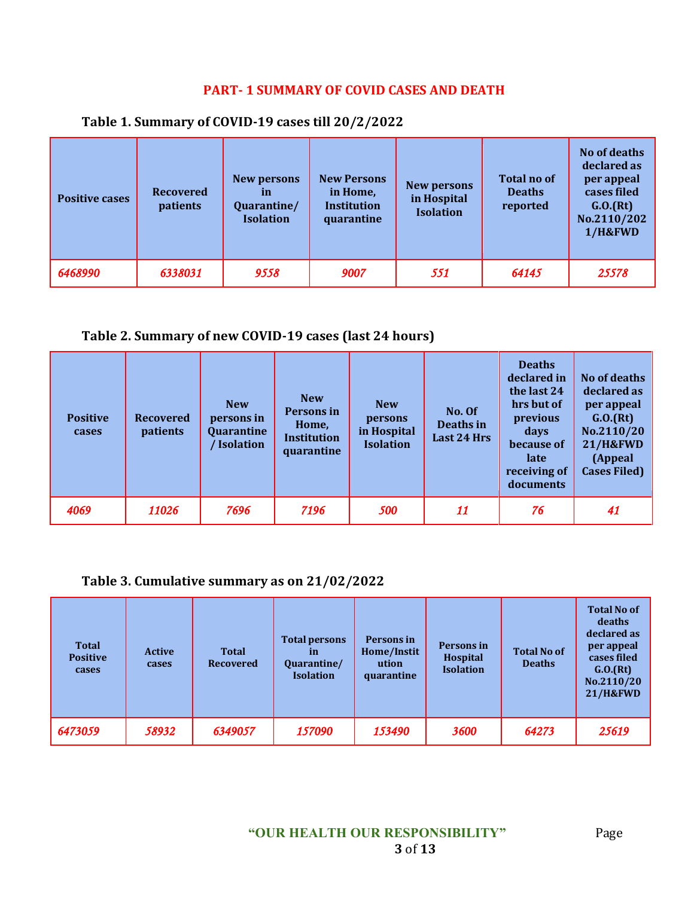## **PART- 1 SUMMARY OF COVID CASES AND DEATH**

| <b>Positive cases</b> | <b>Recovered</b><br>patients | New persons<br>īn<br>Quarantine/<br><b>Isolation</b> | <b>New Persons</b><br>in Home,<br>Institution<br>quarantine | <b>New persons</b><br>in Hospital<br><b>Isolation</b> | <b>Total no of</b><br><b>Deaths</b><br>reported | No of deaths<br>declared as<br>per appeal<br>cases filed<br>G.0.(Rt)<br>No.2110/202<br>1/H&FWD |
|-----------------------|------------------------------|------------------------------------------------------|-------------------------------------------------------------|-------------------------------------------------------|-------------------------------------------------|------------------------------------------------------------------------------------------------|
| 6468990               | 6338031                      | 9558                                                 | 9007                                                        | 551                                                   | 64145                                           | 25578                                                                                          |

#### **Table 1. Summary of COVID-19 cases till 20/2/2022**

### **Table 2. Summary of new COVID-19 cases (last 24 hours)**

| <b>Positive</b><br>cases | <b>Recovered</b><br>patients | <b>New</b><br>persons in<br>Quarantine<br><b>Isolation</b> | <b>New</b><br><b>Persons in</b><br>Home,<br><b>Institution</b><br>quarantine | <b>New</b><br>persons<br>in Hospital<br><b>Isolation</b> | No. Of<br>Deaths in<br>Last 24 Hrs | <b>Deaths</b><br>declared in<br>the last 24<br>hrs but of<br>previous<br>days<br>because of<br>late<br>receiving of<br>documents | No of deaths<br>declared as<br>per appeal<br>G.0.(Rt)<br>No.2110/20<br><b>21/H&amp;FWD</b><br>(Appeal<br><b>Cases Filed)</b> |
|--------------------------|------------------------------|------------------------------------------------------------|------------------------------------------------------------------------------|----------------------------------------------------------|------------------------------------|----------------------------------------------------------------------------------------------------------------------------------|------------------------------------------------------------------------------------------------------------------------------|
| 4069                     | 11026                        | 7696                                                       | 7196                                                                         | 500                                                      | 11                                 | 76                                                                                                                               | 41                                                                                                                           |

### **Table 3. Cumulative summary as on 21/02/2022**

| <b>Total</b><br><b>Positive</b><br>cases | <b>Active</b><br>cases | <b>Total</b><br><b>Recovered</b> | <b>Total persons</b><br><i>in</i><br>Quarantine/<br><b>Isolation</b> | Persons in<br>Home/Instit<br>ution<br>quarantine | Persons in<br><b>Hospital</b><br><b>Isolation</b> | <b>Total No of</b><br><b>Deaths</b> | <b>Total No of</b><br>deaths<br>declared as<br>per appeal<br>cases filed<br>G.0.(Rt)<br>No.2110/20<br><b>21/H&amp;FWD</b> |
|------------------------------------------|------------------------|----------------------------------|----------------------------------------------------------------------|--------------------------------------------------|---------------------------------------------------|-------------------------------------|---------------------------------------------------------------------------------------------------------------------------|
| 6473059                                  | 58932                  | 6349057                          | 157090                                                               | 153490                                           | 3600                                              | 64273                               | 25619                                                                                                                     |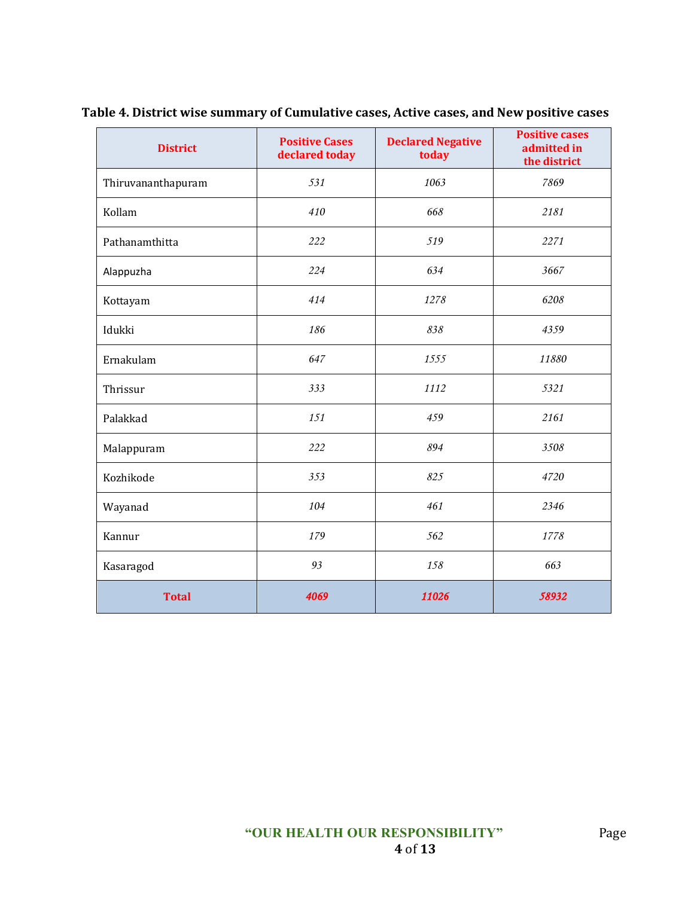| <b>District</b>    | <b>Positive Cases</b><br>declared today | <b>Declared Negative</b><br>today | <b>Positive cases</b><br>admitted in<br>the district |
|--------------------|-----------------------------------------|-----------------------------------|------------------------------------------------------|
| Thiruvananthapuram | 531                                     | 1063                              | 7869                                                 |
| Kollam             | 410                                     | 668                               | 2181                                                 |
| Pathanamthitta     | 222                                     | 519                               | 2271                                                 |
| Alappuzha          | 224                                     | 634                               | 3667                                                 |
| Kottayam           | 414                                     | 1278                              | 6208                                                 |
| Idukki             | 186                                     | 838                               | 4359                                                 |
| Ernakulam          | 647                                     | 1555                              | 11880                                                |
| Thrissur           | 333                                     | 1112                              | 5321                                                 |
| Palakkad           | 151                                     | 459                               | 2161                                                 |
| Malappuram         | 222                                     | 894                               | 3508                                                 |
| Kozhikode          | 353                                     | 825                               | 4720                                                 |
| Wayanad            | 104                                     | 461                               | 2346                                                 |
| Kannur             | 179                                     | 562                               | 1778                                                 |
| Kasaragod          | 93                                      | 158                               | 663                                                  |
| <b>Total</b>       | 4069                                    | 11026                             | 58932                                                |

**Table 4. District wise summary of Cumulative cases, Active cases, and New positive cases**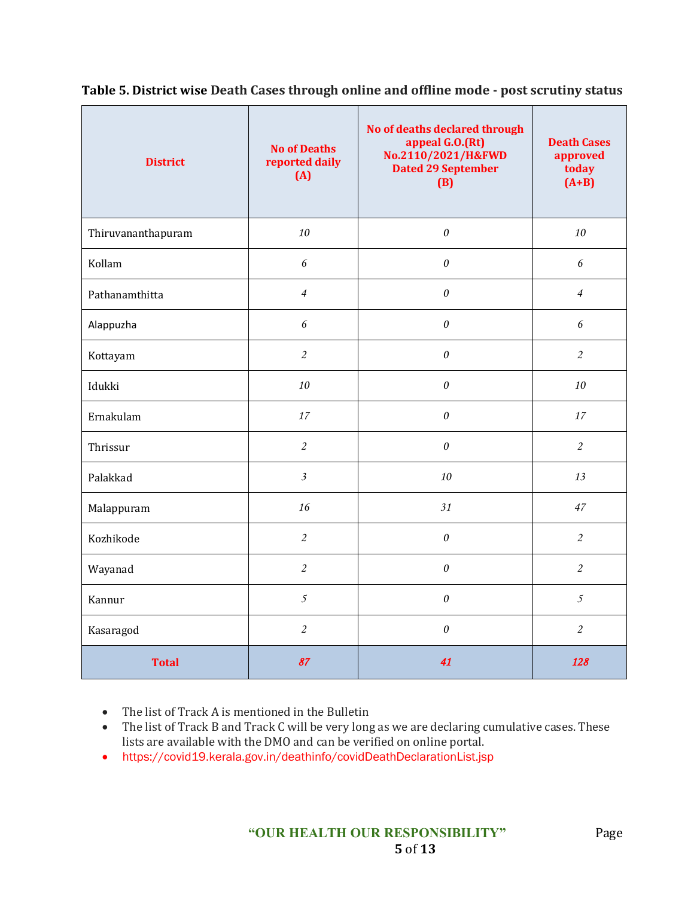| <b>District</b>    | <b>No of Deaths</b><br>reported daily<br>(A) | No of deaths declared through<br>appeal G.O.(Rt)<br>No.2110/2021/H&FWD<br><b>Dated 29 September</b><br>(B) | <b>Death Cases</b><br>approved<br>today<br>$(A+B)$ |
|--------------------|----------------------------------------------|------------------------------------------------------------------------------------------------------------|----------------------------------------------------|
| Thiruvananthapuram | 10                                           | $\boldsymbol{\theta}$                                                                                      | 10                                                 |
| Kollam             | 6                                            | $\boldsymbol{\theta}$                                                                                      | 6                                                  |
| Pathanamthitta     | $\overline{4}$                               | $\boldsymbol{\mathit{0}}$                                                                                  | $\overline{4}$                                     |
| Alappuzha          | $\sqrt{6}$                                   | $\boldsymbol{\theta}$                                                                                      | $\epsilon$                                         |
| Kottayam           | $\mathfrak{2}$                               | $\boldsymbol{\theta}$                                                                                      | $\overline{c}$                                     |
| Idukki             | 10                                           | $\boldsymbol{\theta}$                                                                                      | 10                                                 |
| Ernakulam          | 17                                           | $\boldsymbol{\theta}$                                                                                      | 17                                                 |
| Thrissur           | $\overline{2}$                               | $\boldsymbol{\theta}$                                                                                      | $\overline{c}$                                     |
| Palakkad           | $\mathfrak{Z}$                               | 10                                                                                                         | 13                                                 |
| Malappuram         | 16                                           | 31                                                                                                         | 47                                                 |
| Kozhikode          | $\overline{2}$                               | $\boldsymbol{\theta}$                                                                                      | $\overline{c}$                                     |
| Wayanad            | $\mathfrak{2}$                               | $\boldsymbol{\theta}$                                                                                      | $\mathfrak{2}$                                     |
| Kannur             | $\mathfrak{I}$                               | $\theta$                                                                                                   | $\mathfrak{I}$                                     |
| Kasaragod          | $\overline{2}$                               | $\theta$                                                                                                   | $\overline{c}$                                     |
| <b>Total</b>       | 87                                           | 41                                                                                                         | 128                                                |

**Table 5. District wise Death Cases through online and offline mode - post scrutiny status**

• The list of Track A is mentioned in the Bulletin

- The list of Track B and Track C will be very long as we are declaring cumulative cases. These lists are available with the DMO and can be verified on online portal.
- https://covid19.kerala.gov.in/deathinfo/covidDeathDeclarationList.jsp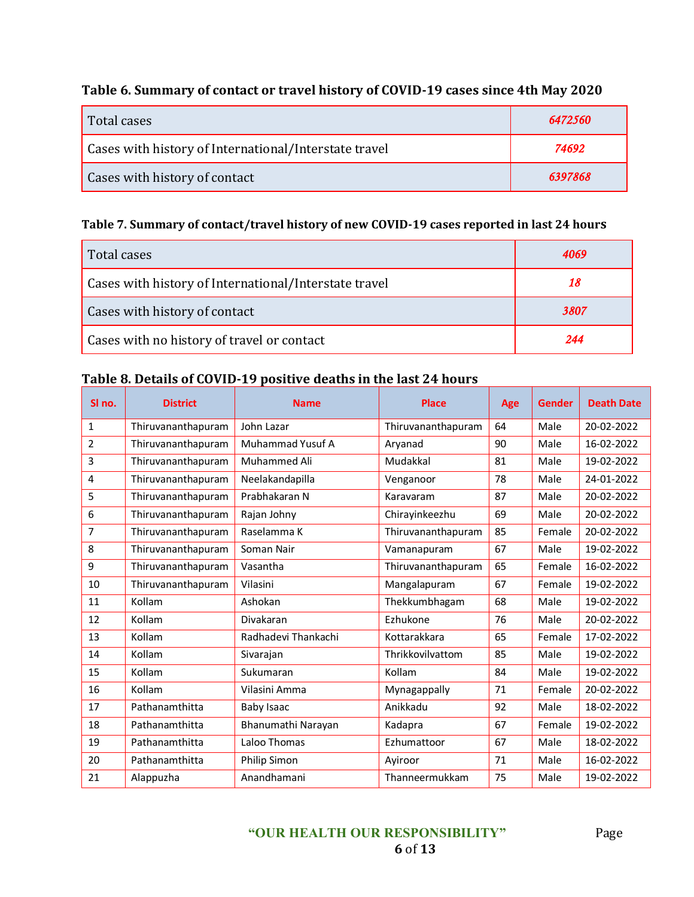# **Table 6. Summary of contact or travel history of COVID-19 cases since 4th May 2020**

| Total cases                                           | 6472560 |
|-------------------------------------------------------|---------|
| Cases with history of International/Interstate travel | 74692   |
| Cases with history of contact                         | 6397868 |

#### **Table 7. Summary of contact/travel history of new COVID-19 cases reported in last 24 hours**

| Total cases                                           |      |
|-------------------------------------------------------|------|
| Cases with history of International/Interstate travel | 18   |
| Cases with history of contact                         | 3807 |
| Cases with no history of travel or contact            | 244  |

### **Table 8. Details of COVID-19 positive deaths in the last 24 hours**

| SI no.         | <b>District</b>    | <b>Name</b>         | <b>Place</b>       | Age | <b>Gender</b> | <b>Death Date</b> |
|----------------|--------------------|---------------------|--------------------|-----|---------------|-------------------|
| 1              | Thiruvananthapuram | John Lazar          | Thiruvananthapuram | 64  | Male          | 20-02-2022        |
| $\overline{2}$ | Thiruvananthapuram | Muhammad Yusuf A    | Aryanad            | 90  | Male          | 16-02-2022        |
| 3              | Thiruvananthapuram | Muhammed Ali        | Mudakkal           | 81  | Male          | 19-02-2022        |
| 4              | Thiruvananthapuram | Neelakandapilla     | Venganoor          | 78  | Male          | 24-01-2022        |
| 5              | Thiruvananthapuram | Prabhakaran N       | Karavaram          | 87  | Male          | 20-02-2022        |
| 6              | Thiruvananthapuram | Rajan Johny         | Chirayinkeezhu     | 69  | Male          | 20-02-2022        |
| 7              | Thiruvananthapuram | Raselamma K         | Thiruvananthapuram | 85  | Female        | 20-02-2022        |
| 8              | Thiruvananthapuram | Soman Nair          | Vamanapuram        | 67  | Male          | 19-02-2022        |
| 9              | Thiruvananthapuram | Vasantha            | Thiruvananthapuram | 65  | Female        | 16-02-2022        |
| 10             | Thiruvananthapuram | Vilasini            | Mangalapuram       | 67  | Female        | 19-02-2022        |
| 11             | Kollam             | Ashokan             | Thekkumbhagam      | 68  | Male          | 19-02-2022        |
| 12             | Kollam             | Divakaran           | Ezhukone           | 76  | Male          | 20-02-2022        |
| 13             | Kollam             | Radhadevi Thankachi | Kottarakkara       | 65  | Female        | 17-02-2022        |
| 14             | Kollam             | Sivarajan           | Thrikkovilvattom   | 85  | Male          | 19-02-2022        |
| 15             | Kollam             | Sukumaran           | Kollam             | 84  | Male          | 19-02-2022        |
| 16             | Kollam             | Vilasini Amma       | Mynagappally       | 71  | Female        | 20-02-2022        |
| 17             | Pathanamthitta     | <b>Baby Isaac</b>   | Anikkadu           | 92  | Male          | 18-02-2022        |
| 18             | Pathanamthitta     | Bhanumathi Narayan  | Kadapra            | 67  | Female        | 19-02-2022        |
| 19             | Pathanamthitta     | Laloo Thomas        | Ezhumattoor        | 67  | Male          | 18-02-2022        |
| 20             | Pathanamthitta     | Philip Simon        | Ayiroor            | 71  | Male          | 16-02-2022        |
| 21             | Alappuzha          | Anandhamani         | Thanneermukkam     | 75  | Male          | 19-02-2022        |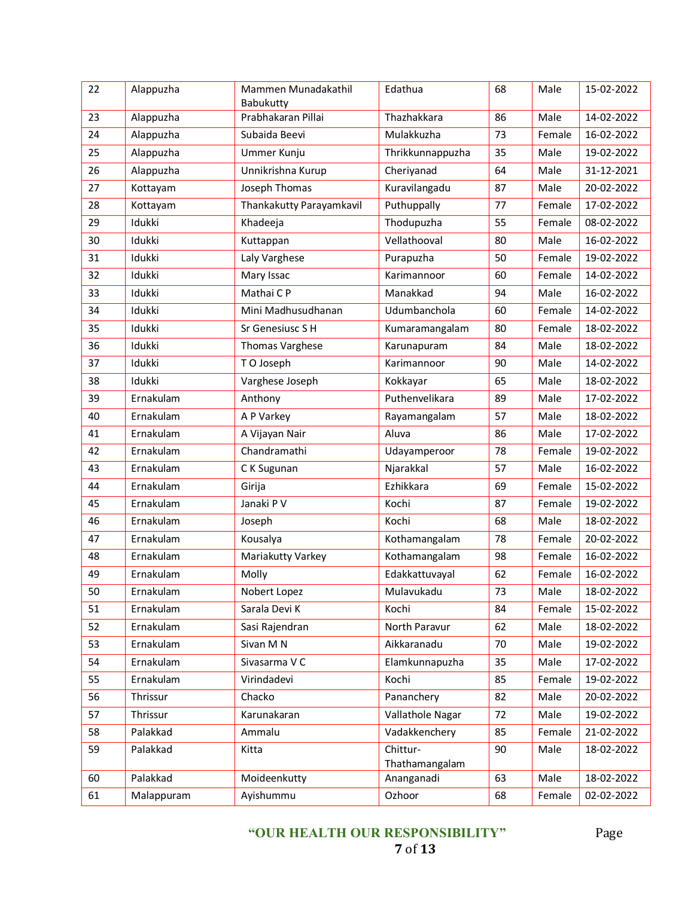| 22 | Alappuzha  | Mammen Munadakathil<br>Babukutty | Edathua                    | 68 | Male   | 15-02-2022 |
|----|------------|----------------------------------|----------------------------|----|--------|------------|
| 23 | Alappuzha  | Prabhakaran Pillai               | Thazhakkara                | 86 | Male   | 14-02-2022 |
| 24 | Alappuzha  | Subaida Beevi                    | Mulakkuzha                 | 73 | Female | 16-02-2022 |
| 25 | Alappuzha  | Ummer Kunju                      | Thrikkunnappuzha           | 35 | Male   | 19-02-2022 |
| 26 | Alappuzha  | Unnikrishna Kurup                | Cheriyanad                 | 64 | Male   | 31-12-2021 |
| 27 | Kottayam   | Joseph Thomas                    | Kuravilangadu              | 87 | Male   | 20-02-2022 |
| 28 | Kottayam   | Thankakutty Parayamkavil         | Puthuppally                | 77 | Female | 17-02-2022 |
| 29 | Idukki     | Khadeeja                         | Thodupuzha                 | 55 | Female | 08-02-2022 |
| 30 | Idukki     | Kuttappan                        | Vellathooval               | 80 | Male   | 16-02-2022 |
| 31 | Idukki     | Laly Varghese                    | Purapuzha                  | 50 | Female | 19-02-2022 |
| 32 | Idukki     | Mary Issac                       | Karimannoor                | 60 | Female | 14-02-2022 |
| 33 | Idukki     | Mathai C P                       | Manakkad                   | 94 | Male   | 16-02-2022 |
| 34 | Idukki     | Mini Madhusudhanan               | Udumbanchola               | 60 | Female | 14-02-2022 |
| 35 | Idukki     | Sr Genesiusc S H                 | Kumaramangalam             | 80 | Female | 18-02-2022 |
| 36 | Idukki     | Thomas Varghese                  | Karunapuram                | 84 | Male   | 18-02-2022 |
| 37 | Idukki     | T O Joseph                       | Karimannoor                | 90 | Male   | 14-02-2022 |
| 38 | Idukki     | Varghese Joseph                  | Kokkayar                   | 65 | Male   | 18-02-2022 |
| 39 | Ernakulam  | Anthony                          | Puthenvelikara             | 89 | Male   | 17-02-2022 |
| 40 | Ernakulam  | A P Varkey                       | Rayamangalam               | 57 | Male   | 18-02-2022 |
| 41 | Ernakulam  | A Vijayan Nair                   | Aluva                      | 86 | Male   | 17-02-2022 |
| 42 | Ernakulam  | Chandramathi                     | Udayamperoor               | 78 | Female | 19-02-2022 |
| 43 | Ernakulam  | C K Sugunan                      | Njarakkal                  | 57 | Male   | 16-02-2022 |
| 44 | Ernakulam  | Girija                           | Ezhikkara                  | 69 | Female | 15-02-2022 |
| 45 | Ernakulam  | Janaki P V                       | Kochi                      | 87 | Female | 19-02-2022 |
| 46 | Ernakulam  | Joseph                           | Kochi                      | 68 | Male   | 18-02-2022 |
| 47 | Ernakulam  | Kousalya                         | Kothamangalam              | 78 | Female | 20-02-2022 |
| 48 | Ernakulam  | Mariakutty Varkey                | Kothamangalam              | 98 | Female | 16-02-2022 |
| 49 | Ernakulam  | Molly                            | Edakkattuvayal             | 62 | Female | 16-02-2022 |
| 50 | Ernakulam  | Nobert Lopez                     | Mulavukadu                 | 73 | Male   | 18-02-2022 |
| 51 | Ernakulam  | Sarala Devi K                    | Kochi                      | 84 | Female | 15-02-2022 |
| 52 | Ernakulam  | Sasi Rajendran                   | North Paravur              | 62 | Male   | 18-02-2022 |
| 53 | Ernakulam  | Sivan M N                        | Aikkaranadu                | 70 | Male   | 19-02-2022 |
| 54 | Ernakulam  | Sivasarma V C                    | Elamkunnapuzha             | 35 | Male   | 17-02-2022 |
| 55 | Ernakulam  | Virindadevi                      | Kochi                      | 85 | Female | 19-02-2022 |
| 56 | Thrissur   | Chacko                           | Pananchery                 | 82 | Male   | 20-02-2022 |
| 57 | Thrissur   | Karunakaran                      | Vallathole Nagar           | 72 | Male   | 19-02-2022 |
| 58 | Palakkad   | Ammalu                           | Vadakkenchery              | 85 | Female | 21-02-2022 |
| 59 | Palakkad   | Kitta                            | Chittur-<br>Thathamangalam | 90 | Male   | 18-02-2022 |
| 60 | Palakkad   | Moideenkutty                     | Ananganadi                 | 63 | Male   | 18-02-2022 |
| 61 | Malappuram | Ayishummu                        | Ozhoor                     | 68 | Female | 02-02-2022 |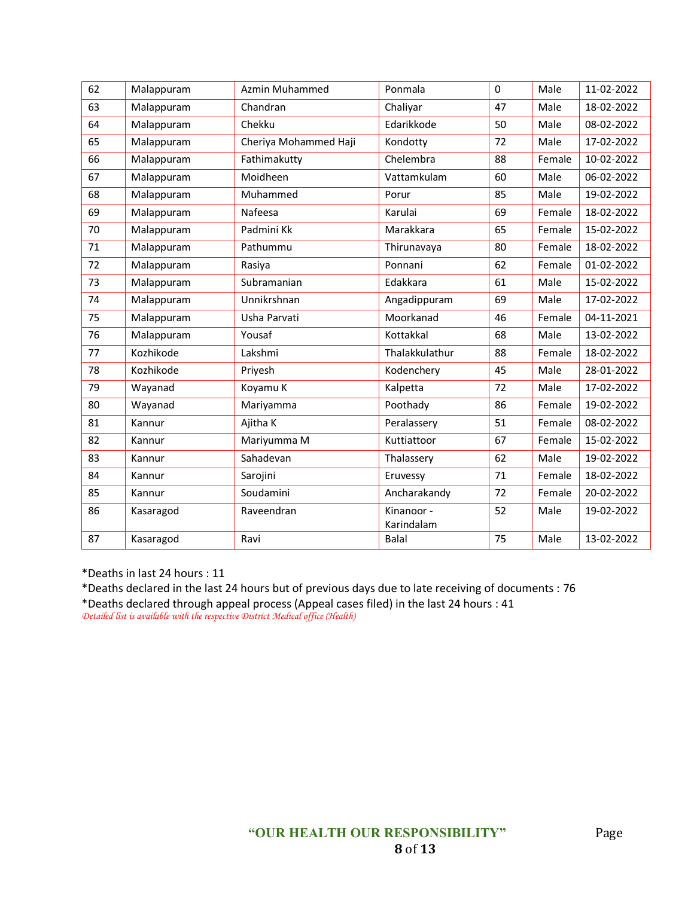| 62 | Malappuram | Azmin Muhammed        | Ponmala        | $\mathbf 0$ | Male   | 11-02-2022 |
|----|------------|-----------------------|----------------|-------------|--------|------------|
| 63 | Malappuram | Chandran              | Chaliyar       | 47          | Male   | 18-02-2022 |
| 64 | Malappuram | Chekku                | Edarikkode     | 50          | Male   | 08-02-2022 |
| 65 | Malappuram | Cheriya Mohammed Haji | Kondotty       | 72          | Male   | 17-02-2022 |
| 66 | Malappuram | Fathimakutty          | Chelembra      | 88          | Female | 10-02-2022 |
| 67 | Malappuram | Moidheen              | Vattamkulam    | 60          | Male   | 06-02-2022 |
| 68 | Malappuram | Muhammed              | Porur          | 85          | Male   | 19-02-2022 |
| 69 | Malappuram | Nafeesa               | Karulai        | 69          | Female | 18-02-2022 |
| 70 | Malappuram | Padmini Kk            | Marakkara      | 65          | Female | 15-02-2022 |
| 71 | Malappuram | Pathummu              | Thirunavaya    | 80          | Female | 18-02-2022 |
| 72 | Malappuram | Rasiya                | Ponnani        | 62          | Female | 01-02-2022 |
| 73 | Malappuram | Subramanian           | Edakkara       | 61          | Male   | 15-02-2022 |
| 74 | Malappuram | Unnikrshnan           | Angadippuram   | 69          | Male   | 17-02-2022 |
| 75 | Malappuram | Usha Parvati          | Moorkanad      | 46          | Female | 04-11-2021 |
| 76 | Malappuram | Yousaf                | Kottakkal      | 68          | Male   | 13-02-2022 |
| 77 | Kozhikode  | Lakshmi               | Thalakkulathur | 88          | Female | 18-02-2022 |
| 78 | Kozhikode  | Priyesh               | Kodenchery     | 45          | Male   | 28-01-2022 |
| 79 | Wayanad    | Koyamu K              | Kalpetta       | 72          | Male   | 17-02-2022 |
| 80 | Wayanad    | Mariyamma             | Poothady       | 86          | Female | 19-02-2022 |
| 81 | Kannur     | Ajitha K              | Peralassery    | 51          | Female | 08-02-2022 |
| 82 | Kannur     | Mariyumma M           | Kuttiattoor    | 67          | Female | 15-02-2022 |
| 83 | Kannur     | Sahadevan             | Thalassery     | 62          | Male   | 19-02-2022 |
| 84 | Kannur     | Sarojini              | Eruvessy       | 71          | Female | 18-02-2022 |
| 85 | Kannur     | Soudamini             | Ancharakandy   | 72          | Female | 20-02-2022 |
| 86 | Kasaragod  | Raveendran            | Kinanoor -     | 52          | Male   | 19-02-2022 |
|    |            |                       | Karindalam     |             |        |            |
| 87 | Kasaragod  | Ravi                  | Balal          | 75          | Male   | 13-02-2022 |

\*Deaths in last 24 hours : 11

\*Deaths declared in the last 24 hours but of previous days due to late receiving of documents : 76 \*Deaths declared through appeal process (Appeal cases filed) in the last 24 hours : 41 *Detailed list is available with the respective District Medical office (Health)*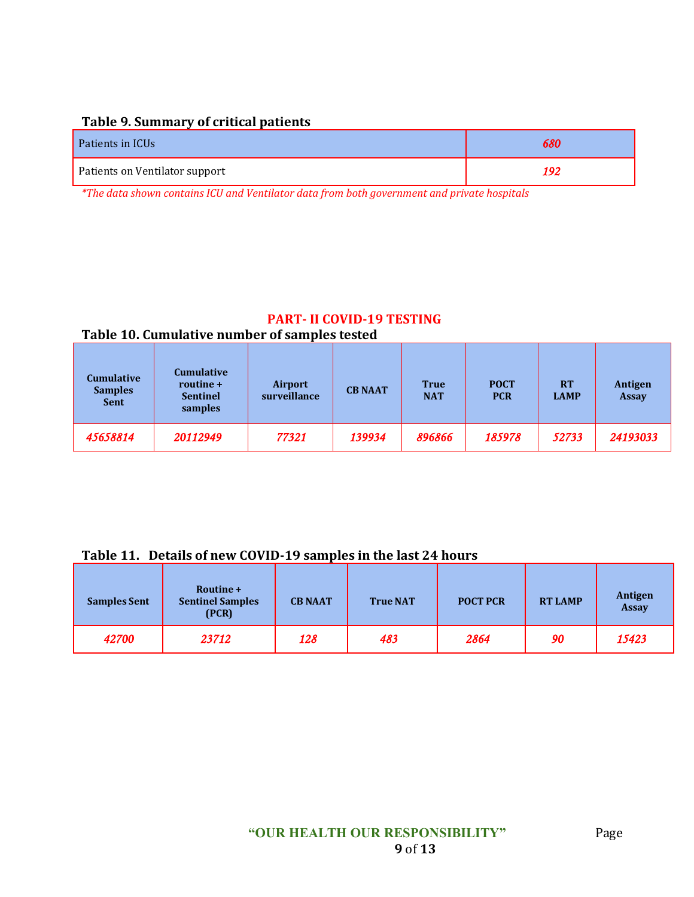|  |  | Table 9. Summary of critical patients |  |  |
|--|--|---------------------------------------|--|--|
|--|--|---------------------------------------|--|--|

| Patients in ICUs               | 680 |
|--------------------------------|-----|
| Patients on Ventilator support | '02 |

*\*The data shown contains ICU and Ventilator data from both government and private hospitals*

#### **PART- II COVID-19 TESTING Table 10. Cumulative number of samples tested**

| <b>Cumulative</b><br><b>Samples</b><br><b>Sent</b> | <b>Cumulative</b><br>routine +<br><b>Sentinel</b><br>samples | <b>Airport</b><br>surveillance | <b>CB NAAT</b> | <b>True</b><br><b>NAT</b> | <b>POCT</b><br><b>PCR</b> | <b>RT</b><br><b>LAMP</b> | Antigen<br><b>Assay</b> |
|----------------------------------------------------|--------------------------------------------------------------|--------------------------------|----------------|---------------------------|---------------------------|--------------------------|-------------------------|
| 45658814                                           | 20112949                                                     | 77321                          | 139934         | 896866                    | 185978                    | 52733                    | 24193033                |

#### **Table 11. Details of new COVID-19 samples in the last 24 hours**

| <b>Samples Sent</b> | Routine +<br><b>Sentinel Samples</b><br>(PCR) | <b>CB NAAT</b> | <b>True NAT</b> | <b>POCT PCR</b> | <b>RT LAMP</b> | Antigen<br><b>Assay</b> |
|---------------------|-----------------------------------------------|----------------|-----------------|-----------------|----------------|-------------------------|
| 42700               | 23712                                         | 128            | 483             | 2864            | 90             | 15423                   |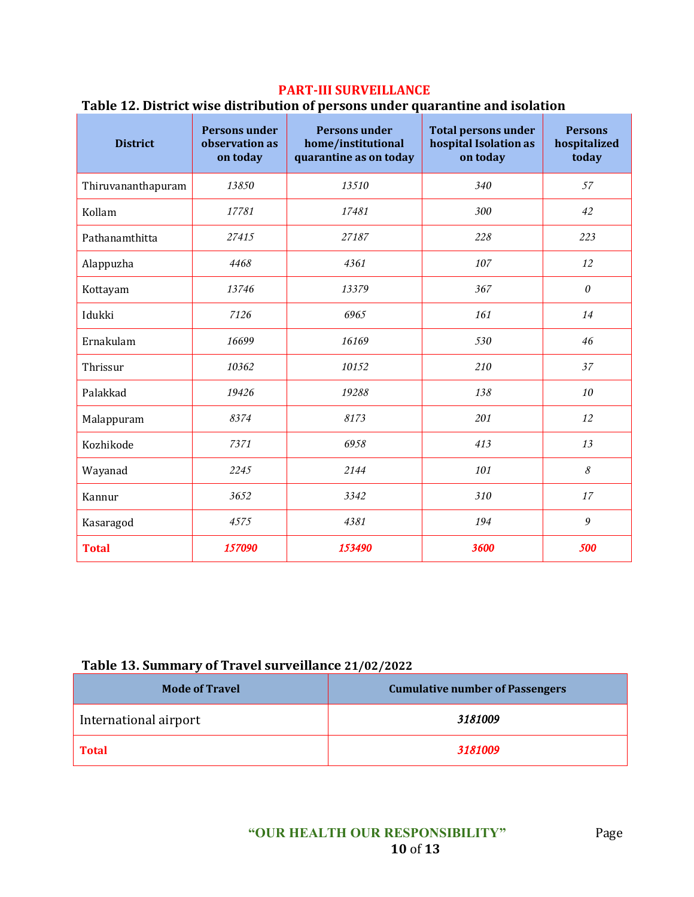### **PART-III SURVEILLANCE**

#### **Table 12. District wise distribution of persons under quarantine and isolation**

| <b>District</b>    | <b>Persons under</b><br>observation as<br>on today | <b>Persons under</b><br>home/institutional<br>quarantine as on today | <b>Total persons under</b><br>hospital Isolation as<br>on today | <b>Persons</b><br>hospitalized<br>today |
|--------------------|----------------------------------------------------|----------------------------------------------------------------------|-----------------------------------------------------------------|-----------------------------------------|
| Thiruvananthapuram | 13850                                              | 13510                                                                | 340                                                             | 57                                      |
| Kollam             | 17781                                              | 17481                                                                | 300                                                             | 42                                      |
| Pathanamthitta     | 27415                                              | 27187                                                                | 228                                                             | 223                                     |
| Alappuzha          | 4468                                               | 4361                                                                 | 107                                                             | 12                                      |
| Kottayam           | 13746                                              | 13379                                                                | 367                                                             | $\boldsymbol{\mathit{0}}$               |
| Idukki             | 7126                                               | 6965                                                                 | 161                                                             | 14                                      |
| Ernakulam          | 16699                                              | 16169                                                                | 530                                                             | 46                                      |
| Thrissur           | 10362                                              | 10152                                                                | 210                                                             | 37                                      |
| Palakkad           | 19426                                              | 19288                                                                | 138                                                             | 10                                      |
| Malappuram         | 8374                                               | 8173                                                                 | 201                                                             | 12                                      |
| Kozhikode          | 7371                                               | 6958                                                                 | 413                                                             | 13                                      |
| Wayanad            | 2245                                               | 2144                                                                 | 101                                                             | $\mathcal S$                            |
| Kannur             | 3652                                               | 3342                                                                 | 310                                                             | 17                                      |
| Kasaragod          | 4575                                               | 4381                                                                 | 194                                                             | 9                                       |
| <b>Total</b>       | 157090                                             | 153490                                                               | 3600                                                            | 500                                     |

#### **Table 13. Summary of Travel surveillance 21/02/2022**

| <b>Mode of Travel</b> | <b>Cumulative number of Passengers</b> |  |
|-----------------------|----------------------------------------|--|
| International airport | 3181009                                |  |
| <b>Total</b>          | 3181009                                |  |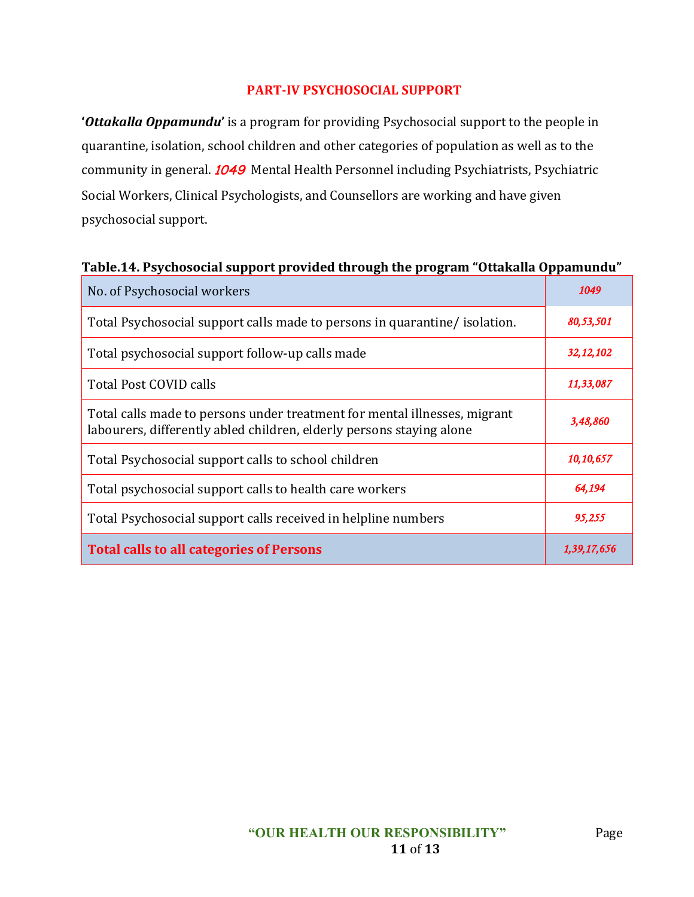### **PART-IV PSYCHOSOCIAL SUPPORT**

**'***Ottakalla Oppamundu***'** is a program for providing Psychosocial support to the people in quarantine, isolation, school children and other categories of population as well as to the community in general. **1049** Mental Health Personnel including Psychiatrists, Psychiatric Social Workers, Clinical Psychologists, and Counsellors are working and have given psychosocial support.

#### **Table.14. Psychosocial support provided through the program "Ottakalla Oppamundu"**

| No. of Psychosocial workers                                                                                                                       | 1049        |
|---------------------------------------------------------------------------------------------------------------------------------------------------|-------------|
| Total Psychosocial support calls made to persons in quarantine/isolation.                                                                         | 80,53,501   |
| Total psychosocial support follow-up calls made                                                                                                   | 32, 12, 102 |
| Total Post COVID calls                                                                                                                            | 11,33,087   |
| Total calls made to persons under treatment for mental illnesses, migrant<br>labourers, differently abled children, elderly persons staying alone | 3,48,860    |
| Total Psychosocial support calls to school children                                                                                               | 10,10,657   |
| Total psychosocial support calls to health care workers                                                                                           | 64,194      |
| Total Psychosocial support calls received in helpline numbers                                                                                     | 95,255      |
| <b>Total calls to all categories of Persons</b>                                                                                                   | 1,39,17,656 |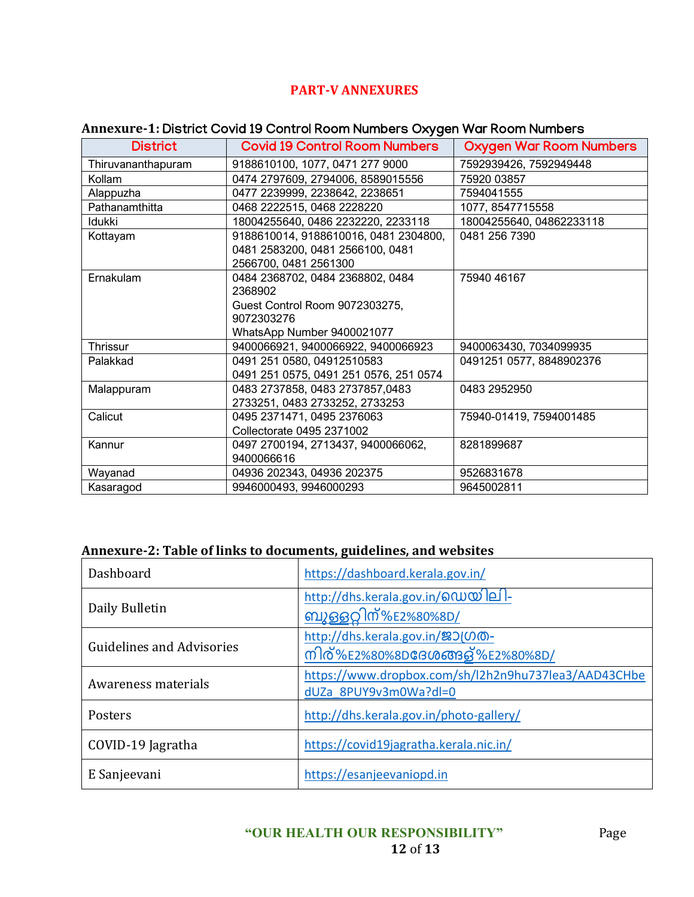# **PART-V ANNEXURES**

### **Annexure-1:** District Covid 19 Control Room Numbers Oxygen War Room Numbers

| <b>District</b>    | <b>Covid 19 Control Room Numbers</b>   | <b>Oxygen War Room Numbers</b> |
|--------------------|----------------------------------------|--------------------------------|
| Thiruvananthapuram | 9188610100, 1077, 0471 277 9000        | 7592939426, 7592949448         |
| Kollam             | 0474 2797609, 2794006, 8589015556      | 75920 03857                    |
| Alappuzha          | 0477 2239999, 2238642, 2238651         | 7594041555                     |
| Pathanamthitta     | 0468 2222515, 0468 2228220             | 1077, 8547715558               |
| Idukki             | 18004255640, 0486 2232220, 2233118     | 18004255640, 04862233118       |
| Kottayam           | 9188610014, 9188610016, 0481 2304800,  | 0481 256 7390                  |
|                    | 0481 2583200, 0481 2566100, 0481       |                                |
|                    | 2566700, 0481 2561300                  |                                |
| Ernakulam          | 0484 2368702, 0484 2368802, 0484       | 75940 46167                    |
|                    | 2368902                                |                                |
|                    | Guest Control Room 9072303275,         |                                |
|                    | 9072303276                             |                                |
|                    | WhatsApp Number 9400021077             |                                |
| Thrissur           | 9400066921, 9400066922, 9400066923     | 9400063430, 7034099935         |
| Palakkad           | 0491 251 0580, 04912510583             | 0491251 0577, 8848902376       |
|                    | 0491 251 0575, 0491 251 0576, 251 0574 |                                |
| Malappuram         | 0483 2737858, 0483 2737857,0483        | 0483 2952950                   |
|                    | 2733251, 0483 2733252, 2733253         |                                |
| Calicut            | 0495 2371471, 0495 2376063             | 75940-01419, 7594001485        |
|                    | Collectorate 0495 2371002              |                                |
| Kannur             | 0497 2700194, 2713437, 9400066062,     | 8281899687                     |
|                    | 9400066616                             |                                |
| Wayanad            | 04936 202343, 04936 202375             | 9526831678                     |
| Kasaragod          | 9946000493, 9946000293                 | 9645002811                     |

### **Annexure-2: Table of links to documents, guidelines, and websites**

| Dashboard                        | https://dashboard.kerala.gov.in/                                              |
|----------------------------------|-------------------------------------------------------------------------------|
| Daily Bulletin                   | http://dhs.kerala.gov.in/@ഡയിലി-<br><u>ബൂഒറ്റിന്%E2%8</u> 0%8D/               |
| <b>Guidelines and Advisories</b> | http://dhs.kerala.gov.in/ஜつ(のの-<br>നിര്%E2%80%8D <b>ദേശങ്ങ</b> ള്%E2%80%8D/   |
| Awareness materials              | https://www.dropbox.com/sh/l2h2n9hu737lea3/AAD43CHbe<br>dUZa 8PUY9v3m0Wa?dl=0 |
| Posters                          | http://dhs.kerala.gov.in/photo-gallery/                                       |
| COVID-19 Jagratha                | https://covid19jagratha.kerala.nic.in/                                        |
| E Sanjeevani                     | https://esanjeevaniopd.in                                                     |